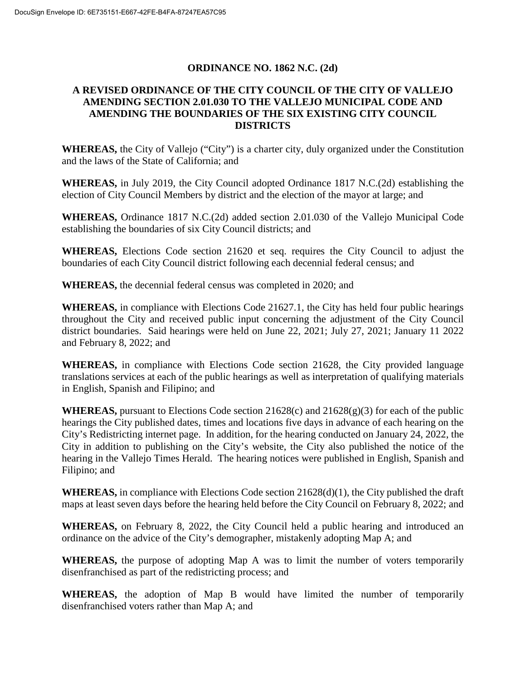#### **ORDINANCE NO. 1862 N.C. (2d)**

#### **A REVISED ORDINANCE OF THE CITY COUNCIL OF THE CITY OF VALLEJO AMENDING SECTION 2.01.030 TO THE VALLEJO MUNICIPAL CODE AND AMENDING THE BOUNDARIES OF THE SIX EXISTING CITY COUNCIL DISTRICTS**

**WHEREAS,** the City of Vallejo ("City") is a charter city, duly organized under the Constitution and the laws of the State of California; and

**WHEREAS,** in July 2019, the City Council adopted Ordinance 1817 N.C.(2d) establishing the election of City Council Members by district and the election of the mayor at large; and

**WHEREAS,** Ordinance 1817 N.C.(2d) added section 2.01.030 of the Vallejo Municipal Code establishing the boundaries of six City Council districts; and

**WHEREAS,** Elections Code section 21620 et seq. requires the City Council to adjust the boundaries of each City Council district following each decennial federal census; and

**WHEREAS,** the decennial federal census was completed in 2020; and

**WHEREAS,** in compliance with Elections Code 21627.1, the City has held four public hearings throughout the City and received public input concerning the adjustment of the City Council district boundaries. Said hearings were held on June 22, 2021; July 27, 2021; January 11 2022 and February 8, 2022; and

**WHEREAS,** in compliance with Elections Code section 21628, the City provided language translations services at each of the public hearings as well as interpretation of qualifying materials in English, Spanish and Filipino; and

**WHEREAS,** pursuant to Elections Code section 21628(c) and 21628(g)(3) for each of the public hearings the City published dates, times and locations five days in advance of each hearing on the City's Redistricting internet page. In addition, for the hearing conducted on January 24, 2022, the City in addition to publishing on the City's website, the City also published the notice of the hearing in the Vallejo Times Herald. The hearing notices were published in English, Spanish and Filipino; and

**WHEREAS,** in compliance with Elections Code section 21628(d)(1), the City published the draft maps at least seven days before the hearing held before the City Council on February 8, 2022; and

**WHEREAS,** on February 8, 2022, the City Council held a public hearing and introduced an ordinance on the advice of the City's demographer, mistakenly adopting Map A; and

**WHEREAS,** the purpose of adopting Map A was to limit the number of voters temporarily disenfranchised as part of the redistricting process; and

**WHEREAS,** the adoption of Map B would have limited the number of temporarily disenfranchised voters rather than Map A; and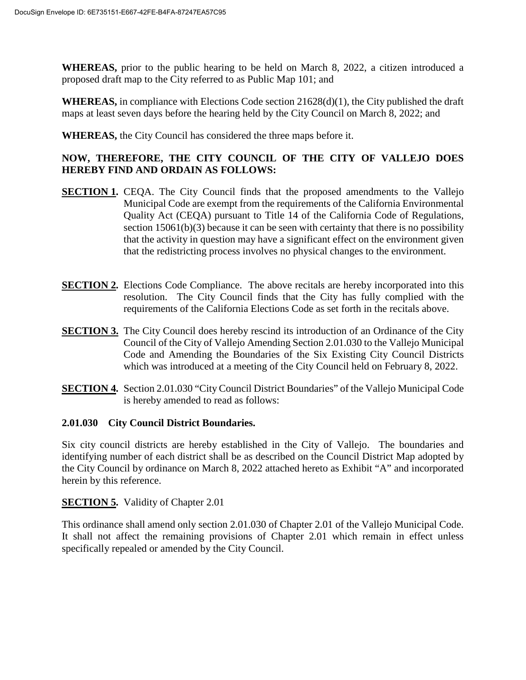**WHEREAS,** prior to the public hearing to be held on March 8, 2022, a citizen introduced a proposed draft map to the City referred to as Public Map 101; and

**WHEREAS,** in compliance with Elections Code section 21628(d)(1), the City published the draft maps at least seven days before the hearing held by the City Council on March 8, 2022; and

**WHEREAS,** the City Council has considered the three maps before it.

# **NOW, THEREFORE, THE CITY COUNCIL OF THE CITY OF VALLEJO DOES HEREBY FIND AND ORDAIN AS FOLLOWS:**

- **SECTION 1.** CEQA. The City Council finds that the proposed amendments to the Vallejo Municipal Code are exempt from the requirements of the California Environmental Quality Act (CEQA) pursuant to Title 14 of the California Code of Regulations, section 15061(b)(3) because it can be seen with certainty that there is no possibility that the activity in question may have a significant effect on the environment given that the redistricting process involves no physical changes to the environment.
- **SECTION 2.** Elections Code Compliance. The above recitals are hereby incorporated into this resolution. The City Council finds that the City has fully complied with the requirements of the California Elections Code as set forth in the recitals above.
- **SECTION 3.** The City Council does hereby rescind its introduction of an Ordinance of the City Council of the City of Vallejo Amending Section 2.01.030 to the Vallejo Municipal Code and Amending the Boundaries of the Six Existing City Council Districts which was introduced at a meeting of the City Council held on February 8, 2022.
- **SECTION 4.** Section 2.01.030 "City Council District Boundaries" of the Vallejo Municipal Code is hereby amended to read as follows:

# **2.01.030 City Council District Boundaries.**

Six city council districts are hereby established in the City of Vallejo. The boundaries and identifying number of each district shall be as described on the Council District Map adopted by the City Council by ordinance on March 8, 2022 attached hereto as Exhibit "A" and incorporated herein by this reference.

# **SECTION 5.** Validity of Chapter 2.01

This ordinance shall amend only section 2.01.030 of Chapter 2.01 of the Vallejo Municipal Code. It shall not affect the remaining provisions of Chapter 2.01 which remain in effect unless specifically repealed or amended by the City Council.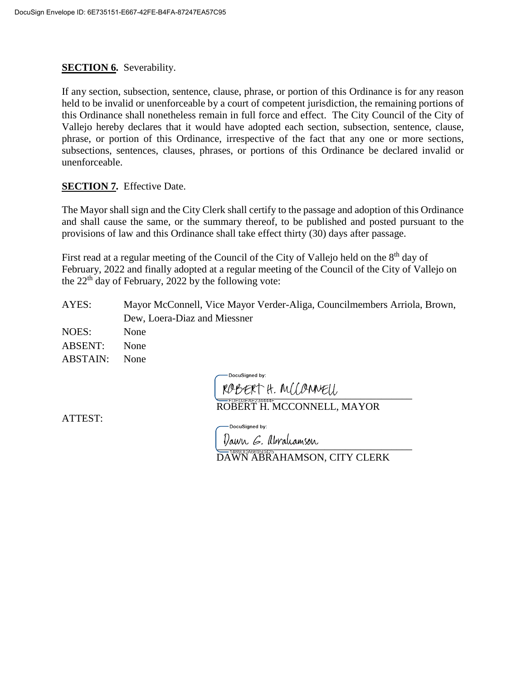# **SECTION 6.** Severability.

If any section, subsection, sentence, clause, phrase, or portion of this Ordinance is for any reason held to be invalid or unenforceable by a court of competent jurisdiction, the remaining portions of this Ordinance shall nonetheless remain in full force and effect. The City Council of the City of Vallejo hereby declares that it would have adopted each section, subsection, sentence, clause, phrase, or portion of this Ordinance, irrespective of the fact that any one or more sections, subsections, sentences, clauses, phrases, or portions of this Ordinance be declared invalid or unenforceable.

# **SECTION 7.** Effective Date.

The Mayor shall sign and the City Clerk shall certify to the passage and adoption of this Ordinance and shall cause the same, or the summary thereof, to be published and posted pursuant to the provisions of law and this Ordinance shall take effect thirty (30) days after passage.

First read at a regular meeting of the Council of the City of Vallejo held on the 8<sup>th</sup> day of February, 2022 and finally adopted at a regular meeting of the Council of the City of Vallejo on the  $22<sup>th</sup>$  day of February, 2022 by the following vote:

AYES: Mayor McConnell, Vice Mayor Verder-Aliga, Councilmembers Arriola, Brown, Dew, Loera-Diaz and Miessner NOES: None

ABSENT: None ABSTAIN: None

> DocuSianed by: ROBERT H. MCCOMMELL

ROBERT H. MCCONNELL, MAYOR

ATTEST:

-DocuSigned by:

 $Vawv \ge 0.$  We allows  $V$ 

DAWN ABRAHAMSON, CITY CLERK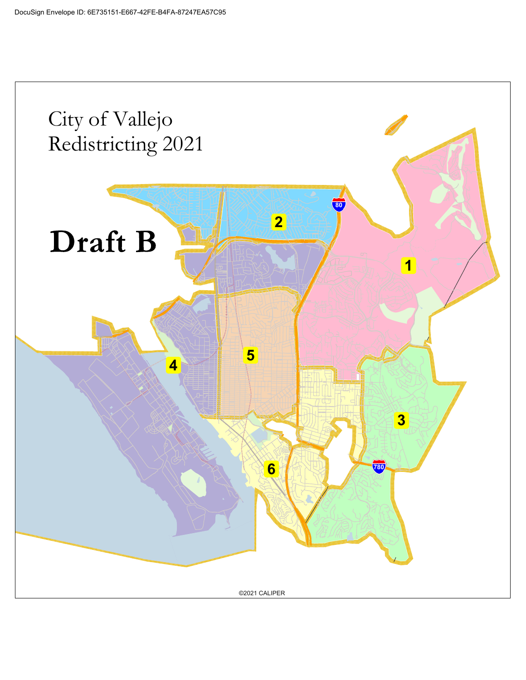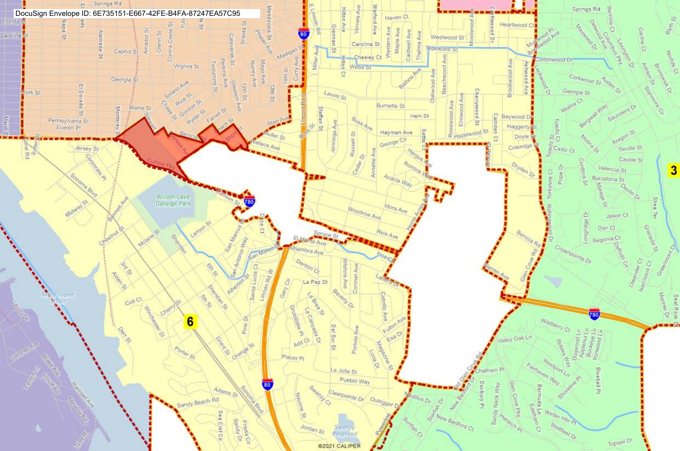